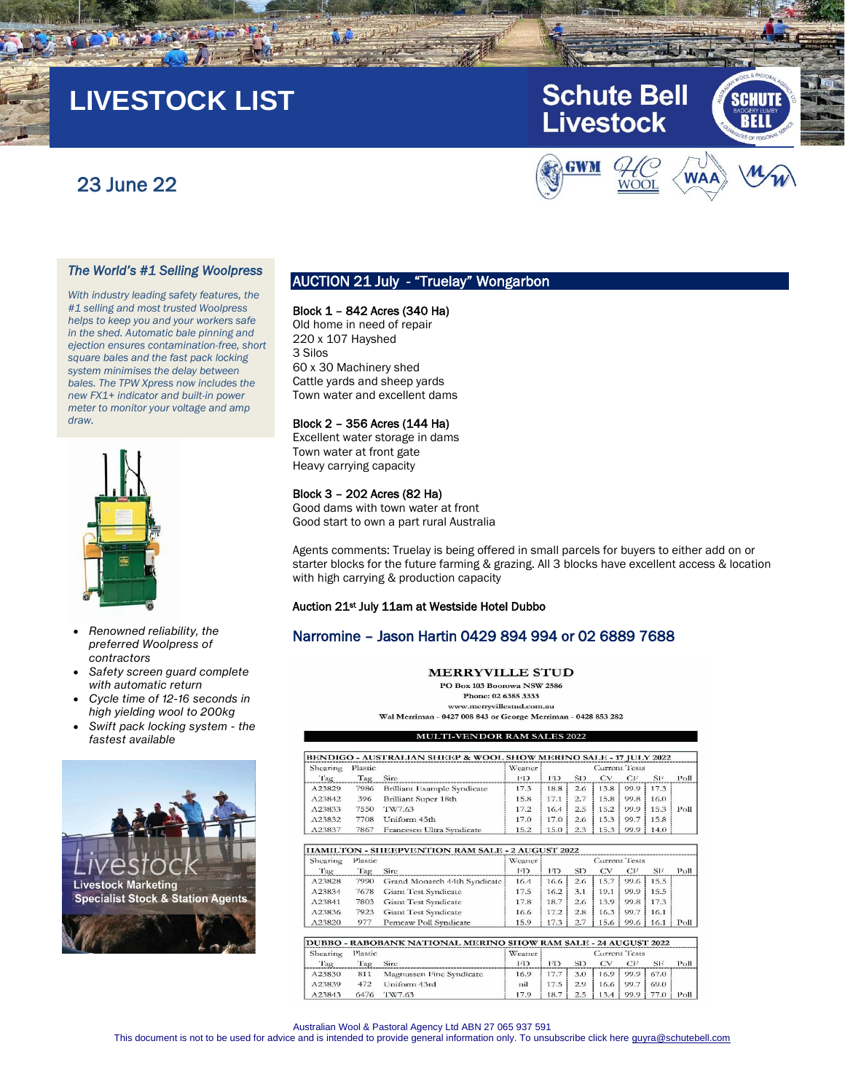# **LIVESTOCK LIST**

# 23 June 22



CHUT

**Schute Bell** 

**Livestock** 

#### *The World's #1 Selling Woolpress*

*With industry leading safety features, the #1 selling and most trusted Woolpress helps to keep you and your workers safe in the shed. Automatic bale pinning and ejection ensures contamination-free, short square bales and the fast pack locking system minimises the delay between bales. The TPW Xpress now includes the new FX1+ indicator and built-in power meter to monitor your voltage and amp draw.*



- *Renowned reliability, the preferred Woolpress of contractors*
- *Safety screen guard complete with automatic return*
- *Cycle time of 12-16 seconds in high yielding wool to 200kg*
- *Swift pack locking system - the fastest available*



# AUCTION 21 July - "Truelay" Wongarbon

#### Block 1 – 842 Acres (340 Ha)

Old home in need of repair 220 x 107 Hayshed 3 Silos 60 x 30 Machinery shed Cattle yards and sheep yards Town water and excellent dams

#### Block 2 – 356 Acres (144 Ha)

Excellent water storage in dams Town water at front gate Heavy carrying capacity

#### Block 3 – 202 Acres (82 Ha)

Good dams with town water at front Good start to own a part rural Australia

Agents comments: Truelay is being offered in small parcels for buyers to either add on or starter blocks for the future farming & grazing. All 3 blocks have excellent access & location with high carrying & production capacity

#### Auction 21st July 11am at Westside Hotel Dubbo

## Narromine – Jason Hartin 0429 894 994 or 02 6889 7688

#### **MERRYVILLE STUD**

PO Box 103 Boorowa NSW 2586 Phone: 02 6385 3333 www.merryvillestud.com.au

Wal Merriman - 0427 008 843 or George Merriman - 0428 853 282

#### **MULTI-VENDOR RAM SALES 2022**

| Shearing | <b>Plastic</b> |                                                                 | Weaner         | Current Tests        |                 |      |      |      |                   |
|----------|----------------|-----------------------------------------------------------------|----------------|----------------------|-----------------|------|------|------|-------------------|
| Tag      | Tag            | Sire                                                            | FD             | 1 <sup>7</sup>       | SD <sub>3</sub> | CV   | CI   | SF   | P <sub>O</sub> 11 |
| A23829   | 7986           | Brilliant Example Syndicate                                     | 17.3           | 18.8                 | 2.6             | 13.8 | 99.9 | 17.3 |                   |
| A23842   | 396            | Brilliant Super 18th                                            | 15.8           | 17.1                 | 2.7             | 15.8 | 99.8 | 16.0 |                   |
| A23833   | 7550           | TW7.63                                                          | 17.2           | 16.4                 | 2.5             | 15.2 | 99.9 | 15.3 | Poll              |
| A23832   | 7708           | Uniform 45th                                                    | 17.0           | 17.0                 | 2.6             | 15.3 | 99.7 | 15.8 |                   |
| A23837   | 7867           | Francesco Ultra Syndicate                                       | 15.2           | 15.0                 | 2.3             | 15.3 | 99.9 | 14.0 |                   |
|          |                | <b>IIAMILTON - SHEEPVENTION RAM SALE - 2 AUGUST 2022</b>        |                |                      |                 |      |      |      |                   |
| Shearing | Plastic        |                                                                 | Weaner         | Current Tests        |                 |      |      |      |                   |
| Tag      | Tag            | Sire                                                            | <b>FD</b>      | TD.                  | SD <sub>3</sub> | CV   | CI   | SF   | P <sub>O</sub> 11 |
| A23828   | 7990           | Grand Monarch 44th Syndicate                                    | 16.4           | 16.6                 | 2.6             | 15.7 | 99.6 | 15.5 |                   |
| A23834   | 7678           | Giant Test Syndicate                                            | 17.5           | 16.2                 | 3.1             | 19.1 | 99.9 | 15.5 |                   |
| A23841   | 7803           | <b>Giant Test Syndicate</b>                                     | 17.8           | 18.7                 | 2.6             | 13.9 | 99.8 | 17.3 |                   |
| A23836   | 7923           | <b>Giant Test Syndicate</b>                                     | 16.6           | 17.2                 | 2.8             | 16.3 | 99.7 | 16.1 |                   |
| A23820   | 977            | Pemcaw Poll Syndicate                                           | 15.9           | 17.3                 | 2.7             | 15.6 | 99.6 | 16.1 | $P^{\text{Oll}}$  |
|          |                | DUBBO - RABOBANK NATIONAL MERINO SHOW RAM SALE - 24 AUGUST 2022 |                |                      |                 |      |      |      |                   |
| Shearing | Plastic        |                                                                 | Weaner         | <b>Current Tests</b> |                 |      |      |      |                   |
| Tag      | Tag            | Sirc.                                                           | 1 <sup>7</sup> | 1 <sup>7</sup>       | SD <sub>3</sub> | CV   | CI   | SF   | Poll              |
| A23830   | 811            | Magnussen Fine Syndicate                                        | 16.9           | 17.7                 | 3.0             | 16.9 | 99.9 | 67.0 |                   |
| A23839   | 472            | Uniform 43rd                                                    | nil            | 17.5                 | 2.9             | 16.6 | 99.7 | 69.0 |                   |
| A23843   | 6476           | TW7.63                                                          | 17.9           | 18.7                 | 2.5             | 13.4 | 99.9 | 77.0 | Poll.             |

Australian Wool & Pastoral Agency Ltd ABN 27 065 937 591

This document is not to be used for advice and is intended to provide general information only. To unsubscribe click here guyra@schutebell.com